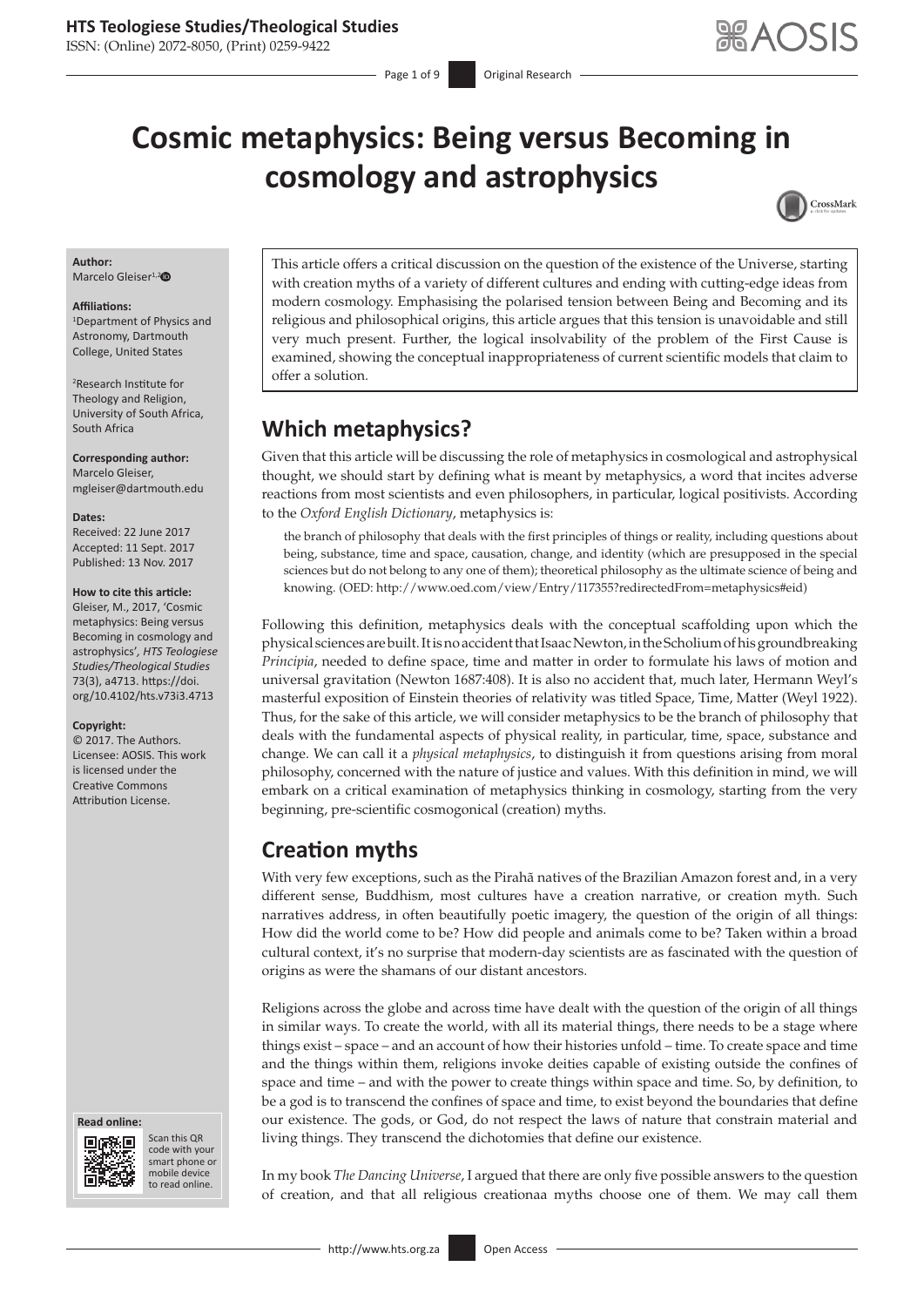ISSN: (Online) 2072-8050, (Print) 0259-9422

# **Cosmic metaphysics: Being versus Becoming in cosmology and astrophysics**



#### **Author:**

Marcelo Gleiser<sup>1,[2](http://orcid.org/0000-0003-1402-9018)</sup><sup>0</sup>

#### **Affiliations:**

1 Department of Physics and Astronomy, Dartmouth College, United States

2 Research Institute for Theology and Religion, University of South Africa, South Africa

**Corresponding author:** Marcelo Gleiser, [mgleiser@dartmouth.edu](mailto:mgleiser@dartmouth.edu)

#### **Dates:**

Received: 22 June 2017 Accepted: 11 Sept. 2017 Published: 13 Nov. 2017

#### **How to cite this article:**

Gleiser, M., 2017, 'Cosmic metaphysics: Being versus Becoming in cosmology and astrophysics'*, HTS Teologiese Studies/Theological Studies* 73(3), a4713. [https://doi.](https://doi.org/10.4102/hts.v73i3.4713) [org/10.4102/hts.v73i3.4713](https://doi.org/10.4102/hts.v73i3.4713)

#### **Copyright:**

© 2017. The Authors. Licensee: AOSIS. This work is licensed under the Creative Commons Attribution License.





Scan this QR code with your Scan this QR<br>code with your<br>smart phone or<br>mobile device mobile device to read online. to read online.

This article offers a critical discussion on the question of the existence of the Universe, starting with creation myths of a variety of different cultures and ending with cutting-edge ideas from modern cosmology. Emphasising the polarised tension between Being and Becoming and its religious and philosophical origins, this article argues that this tension is unavoidable and still very much present. Further, the logical insolvability of the problem of the First Cause is examined, showing the conceptual inappropriateness of current scientific models that claim to offer a solution.

# **Which metaphysics?**

Given that this article will be discussing the role of metaphysics in cosmological and astrophysical thought, we should start by defining what is meant by metaphysics, a word that incites adverse reactions from most scientists and even philosophers, in particular, logical positivists. According to the *Oxford English Dictionary*, metaphysics is:

the branch of philosophy that deals with the first principles of things or reality, including questions about being, substance, time and space, causation, change, and identity (which are presupposed in the special sciences but do not belong to any one of them); theoretical philosophy as the ultimate science of being and knowing. (OED: [http://www.oed.com/view/Entry/117355?redirectedFrom=metaphysics#eid\)](http://www.oed.com/view/Entry/117355?redirectedFrom=metaphysics#eid)

Following this definition, metaphysics deals with the conceptual scaffolding upon which the physical sciences are built. It is no accident that Isaac Newton, in the Scholium of his groundbreaking *Principia*, needed to define space, time and matter in order to formulate his laws of motion and universal gravitation (Newton 1687:408). It is also no accident that, much later, Hermann Weyl's masterful exposition of Einstein theories of relativity was titled Space, Time, Matter (Weyl 1922). Thus, for the sake of this article, we will consider metaphysics to be the branch of philosophy that deals with the fundamental aspects of physical reality, in particular, time, space, substance and change. We can call it a *physical metaphysics*, to distinguish it from questions arising from moral philosophy, concerned with the nature of justice and values. With this definition in mind, we will embark on a critical examination of metaphysics thinking in cosmology, starting from the very beginning, pre-scientific cosmogonical (creation) myths.

# **Creation myths**

With very few exceptions, such as the Pirahã natives of the Brazilian Amazon forest and, in a very different sense, Buddhism, most cultures have a creation narrative, or creation myth. Such narratives address, in often beautifully poetic imagery, the question of the origin of all things: How did the world come to be? How did people and animals come to be? Taken within a broad cultural context, it's no surprise that modern-day scientists are as fascinated with the question of origins as were the shamans of our distant ancestors.

Religions across the globe and across time have dealt with the question of the origin of all things in similar ways. To create the world, with all its material things, there needs to be a stage where things exist – space – and an account of how their histories unfold – time. To create space and time and the things within them, religions invoke deities capable of existing outside the confines of space and time – and with the power to create things within space and time. So, by definition, to be a god is to transcend the confines of space and time, to exist beyond the boundaries that define our existence. The gods, or God, do not respect the laws of nature that constrain material and living things. They transcend the dichotomies that define our existence.

In my book *The Dancing Universe*, I argued that there are only five possible answers to the question of creation, and that all religious creationaa myths choose one of them. We may call them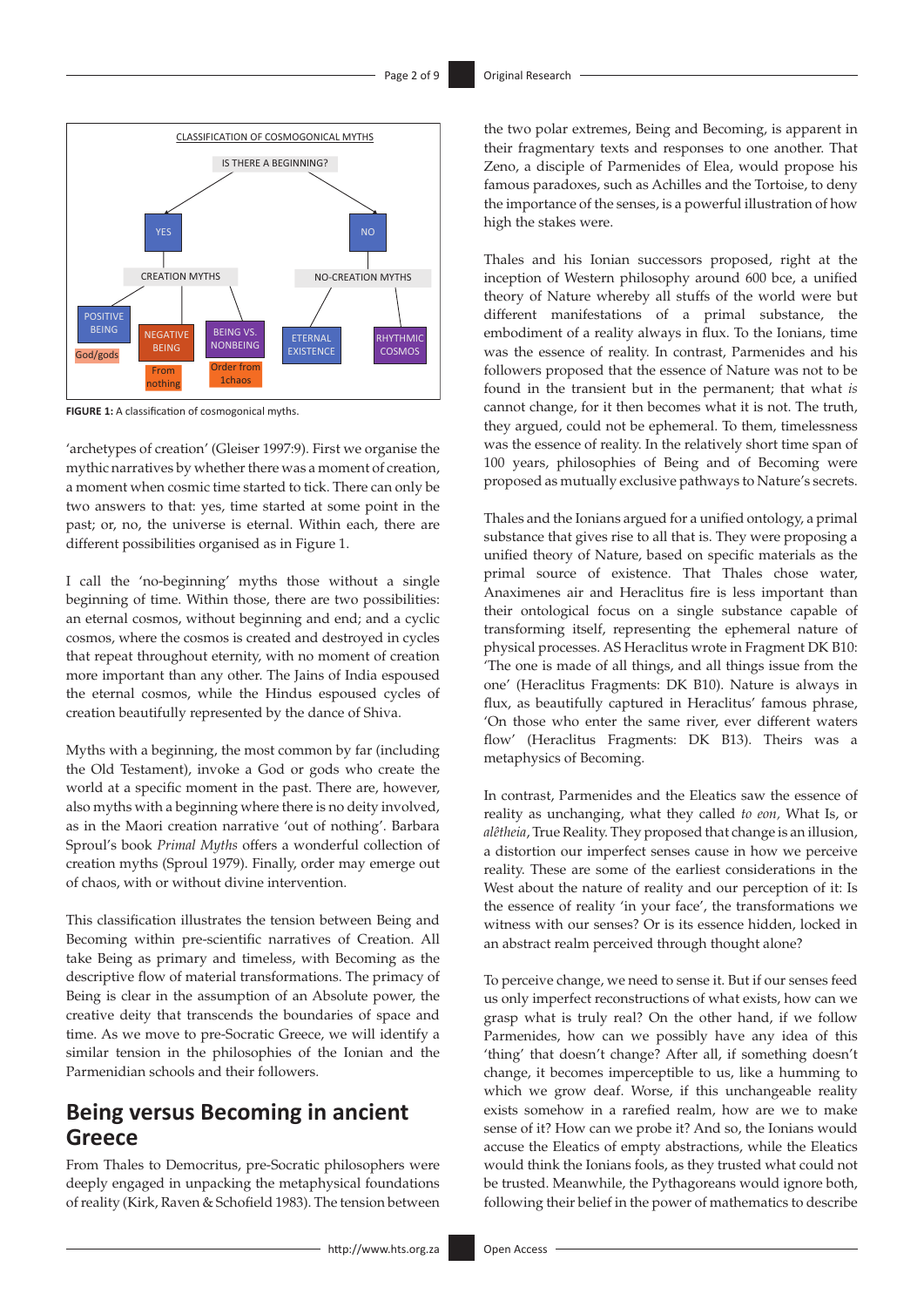

**FIGURE 1:** A classification of cosmogonical myths.

'archetypes of creation' (Gleiser 1997:9). First we organise the mythic narratives by whether there was a moment of creation, a moment when cosmic time started to tick. There can only be two answers to that: yes, time started at some point in the past; or, no, the universe is eternal. Within each, there are different possibilities organised as in Figure 1.

I call the 'no-beginning' myths those without a single beginning of time. Within those, there are two possibilities: an eternal cosmos, without beginning and end; and a cyclic cosmos, where the cosmos is created and destroyed in cycles that repeat throughout eternity, with no moment of creation more important than any other. The Jains of India espoused the eternal cosmos, while the Hindus espoused cycles of creation beautifully represented by the dance of Shiva.

Myths with a beginning, the most common by far (including the Old Testament), invoke a God or gods who create the world at a specific moment in the past. There are, however, also myths with a beginning where there is no deity involved, as in the Maori creation narrative 'out of nothing'. Barbara Sproul's book *Primal Myths* offers a wonderful collection of creation myths (Sproul 1979). Finally, order may emerge out of chaos, with or without divine intervention.

This classification illustrates the tension between Being and Becoming within pre-scientific narratives of Creation. All take Being as primary and timeless, with Becoming as the descriptive flow of material transformations. The primacy of Being is clear in the assumption of an Absolute power, the creative deity that transcends the boundaries of space and time. As we move to pre-Socratic Greece, we will identify a similar tension in the philosophies of the Ionian and the Parmenidian schools and their followers.

### **Being versus Becoming in ancient Greece**

From Thales to Democritus, pre-Socratic philosophers were deeply engaged in unpacking the metaphysical foundations of reality (Kirk, Raven & Schofield 1983). The tension between the two polar extremes, Being and Becoming, is apparent in their fragmentary texts and responses to one another. That Zeno, a disciple of Parmenides of Elea, would propose his famous paradoxes, such as Achilles and the Tortoise, to deny the importance of the senses, is a powerful illustration of how high the stakes were.

Thales and his Ionian successors proposed, right at the inception of Western philosophy around 600 bce, a unified theory of Nature whereby all stuffs of the world were but different manifestations of a primal substance, the embodiment of a reality always in flux. To the Ionians, time was the essence of reality. In contrast, Parmenides and his followers proposed that the essence of Nature was not to be found in the transient but in the permanent; that what *is* cannot change, for it then becomes what it is not. The truth, they argued, could not be ephemeral. To them, timelessness was the essence of reality. In the relatively short time span of 100 years, philosophies of Being and of Becoming were proposed as mutually exclusive pathways to Nature's secrets.

Thales and the Ionians argued for a unified ontology, a primal substance that gives rise to all that is. They were proposing a unified theory of Nature, based on specific materials as the primal source of existence. That Thales chose water, Anaximenes air and Heraclitus fire is less important than their ontological focus on a single substance capable of transforming itself, representing the ephemeral nature of physical processes. AS Heraclitus wrote in Fragment DK B10: 'The one is made of all things, and all things issue from the one' (Heraclitus Fragments: DK B10). Nature is always in flux, as beautifully captured in Heraclitus' famous phrase, 'On those who enter the same river, ever different waters flow' (Heraclitus Fragments: DK B13). Theirs was a metaphysics of Becoming.

In contrast, Parmenides and the Eleatics saw the essence of reality as unchanging, what they called *to eon,* What Is, or *alêtheia*, True Reality. They proposed that change is an illusion, a distortion our imperfect senses cause in how we perceive reality. These are some of the earliest considerations in the West about the nature of reality and our perception of it: Is the essence of reality 'in your face', the transformations we witness with our senses? Or is its essence hidden, locked in an abstract realm perceived through thought alone?

To perceive change, we need to sense it. But if our senses feed us only imperfect reconstructions of what exists, how can we grasp what is truly real? On the other hand, if we follow Parmenides, how can we possibly have any idea of this 'thing' that doesn't change? After all, if something doesn't change, it becomes imperceptible to us, like a humming to which we grow deaf. Worse, if this unchangeable reality exists somehow in a rarefied realm, how are we to make sense of it? How can we probe it? And so, the Ionians would accuse the Eleatics of empty abstractions, while the Eleatics would think the Ionians fools, as they trusted what could not be trusted. Meanwhile, the Pythagoreans would ignore both, following their belief in the power of mathematics to describe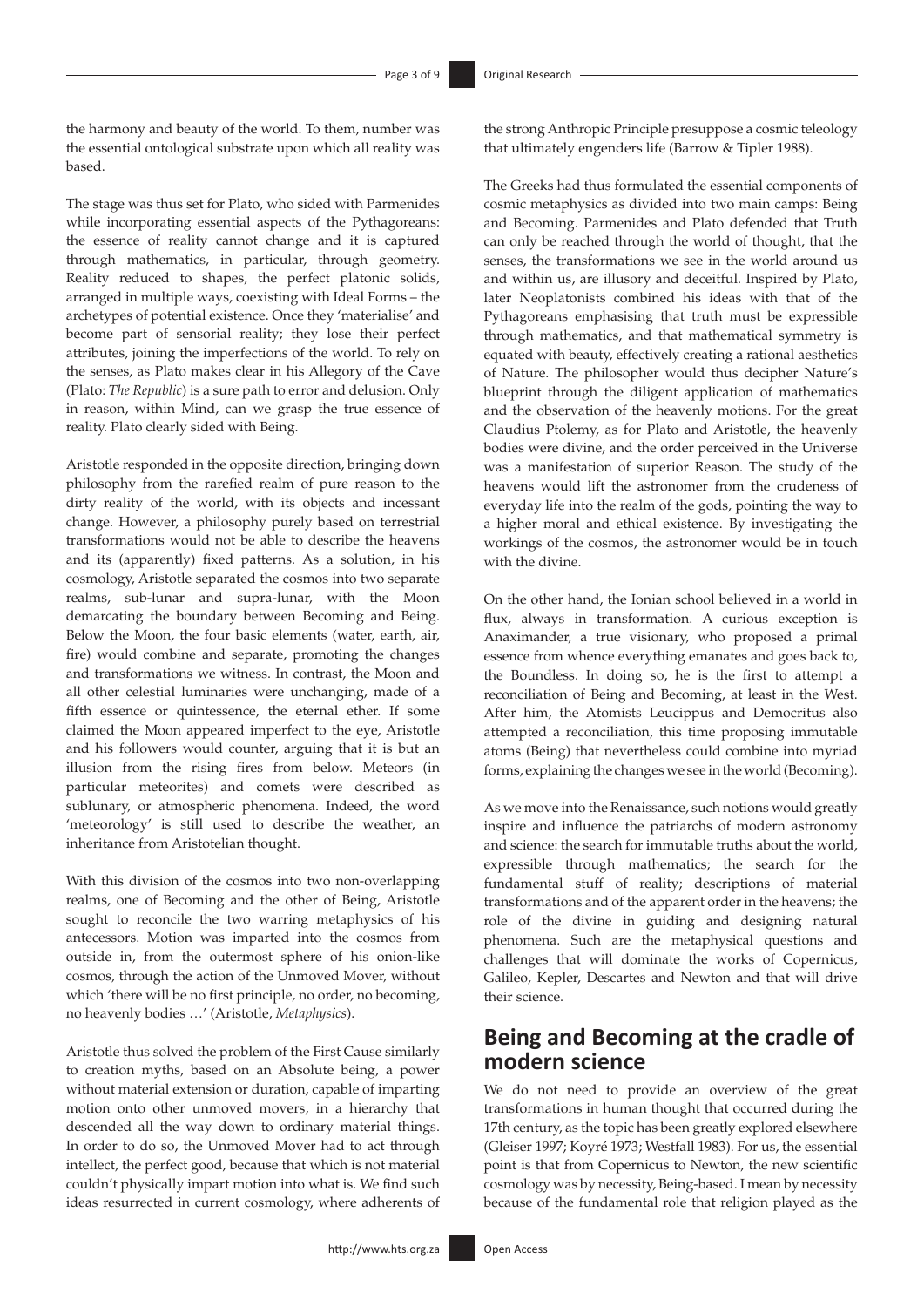the harmony and beauty of the world. To them, number was the essential ontological substrate upon which all reality was based.

The stage was thus set for Plato, who sided with Parmenides while incorporating essential aspects of the Pythagoreans: the essence of reality cannot change and it is captured through mathematics, in particular, through geometry. Reality reduced to shapes, the perfect platonic solids, arranged in multiple ways, coexisting with Ideal Forms – the archetypes of potential existence. Once they 'materialise' and become part of sensorial reality; they lose their perfect attributes, joining the imperfections of the world. To rely on the senses, as Plato makes clear in his Allegory of the Cave (Plato: *The Republic*) is a sure path to error and delusion. Only in reason, within Mind, can we grasp the true essence of reality. Plato clearly sided with Being.

Aristotle responded in the opposite direction, bringing down philosophy from the rarefied realm of pure reason to the dirty reality of the world, with its objects and incessant change. However, a philosophy purely based on terrestrial transformations would not be able to describe the heavens and its (apparently) fixed patterns. As a solution, in his cosmology, Aristotle separated the cosmos into two separate realms, sub-lunar and supra-lunar, with the Moon demarcating the boundary between Becoming and Being. Below the Moon, the four basic elements (water, earth, air, fire) would combine and separate, promoting the changes and transformations we witness. In contrast, the Moon and all other celestial luminaries were unchanging, made of a fifth essence or quintessence, the eternal ether. If some claimed the Moon appeared imperfect to the eye, Aristotle and his followers would counter, arguing that it is but an illusion from the rising fires from below. Meteors (in particular meteorites) and comets were described as sublunary, or atmospheric phenomena. Indeed, the word 'meteorology' is still used to describe the weather, an inheritance from Aristotelian thought.

With this division of the cosmos into two non-overlapping realms, one of Becoming and the other of Being, Aristotle sought to reconcile the two warring metaphysics of his antecessors. Motion was imparted into the cosmos from outside in, from the outermost sphere of his onion-like cosmos, through the action of the Unmoved Mover, without which 'there will be no first principle, no order, no becoming, no heavenly bodies …' (Aristotle, *Metaphysics*).

Aristotle thus solved the problem of the First Cause similarly to creation myths, based on an Absolute being, a power without material extension or duration, capable of imparting motion onto other unmoved movers, in a hierarchy that descended all the way down to ordinary material things. In order to do so, the Unmoved Mover had to act through intellect, the perfect good, because that which is not material couldn't physically impart motion into what is. We find such ideas resurrected in current cosmology, where adherents of the strong Anthropic Principle presuppose a cosmic teleology that ultimately engenders life (Barrow & Tipler 1988).

The Greeks had thus formulated the essential components of cosmic metaphysics as divided into two main camps: Being and Becoming. Parmenides and Plato defended that Truth can only be reached through the world of thought, that the senses, the transformations we see in the world around us and within us, are illusory and deceitful. Inspired by Plato, later Neoplatonists combined his ideas with that of the Pythagoreans emphasising that truth must be expressible through mathematics, and that mathematical symmetry is equated with beauty, effectively creating a rational aesthetics of Nature. The philosopher would thus decipher Nature's blueprint through the diligent application of mathematics and the observation of the heavenly motions. For the great Claudius Ptolemy, as for Plato and Aristotle, the heavenly bodies were divine, and the order perceived in the Universe was a manifestation of superior Reason. The study of the heavens would lift the astronomer from the crudeness of everyday life into the realm of the gods, pointing the way to a higher moral and ethical existence. By investigating the workings of the cosmos, the astronomer would be in touch with the divine.

On the other hand, the Ionian school believed in a world in flux, always in transformation. A curious exception is Anaximander, a true visionary, who proposed a primal essence from whence everything emanates and goes back to, the Boundless. In doing so, he is the first to attempt a reconciliation of Being and Becoming, at least in the West. After him, the Atomists Leucippus and Democritus also attempted a reconciliation, this time proposing immutable atoms (Being) that nevertheless could combine into myriad forms, explaining the changes we see in the world (Becoming).

As we move into the Renaissance, such notions would greatly inspire and influence the patriarchs of modern astronomy and science: the search for immutable truths about the world, expressible through mathematics; the search for the fundamental stuff of reality; descriptions of material transformations and of the apparent order in the heavens; the role of the divine in guiding and designing natural phenomena. Such are the metaphysical questions and challenges that will dominate the works of Copernicus, Galileo, Kepler, Descartes and Newton and that will drive their science.

### **Being and Becoming at the cradle of modern science**

We do not need to provide an overview of the great transformations in human thought that occurred during the 17th century, as the topic has been greatly explored elsewhere (Gleiser 1997; Koyré 1973; Westfall 1983). For us, the essential point is that from Copernicus to Newton, the new scientific cosmology was by necessity, Being-based. I mean by necessity because of the fundamental role that religion played as the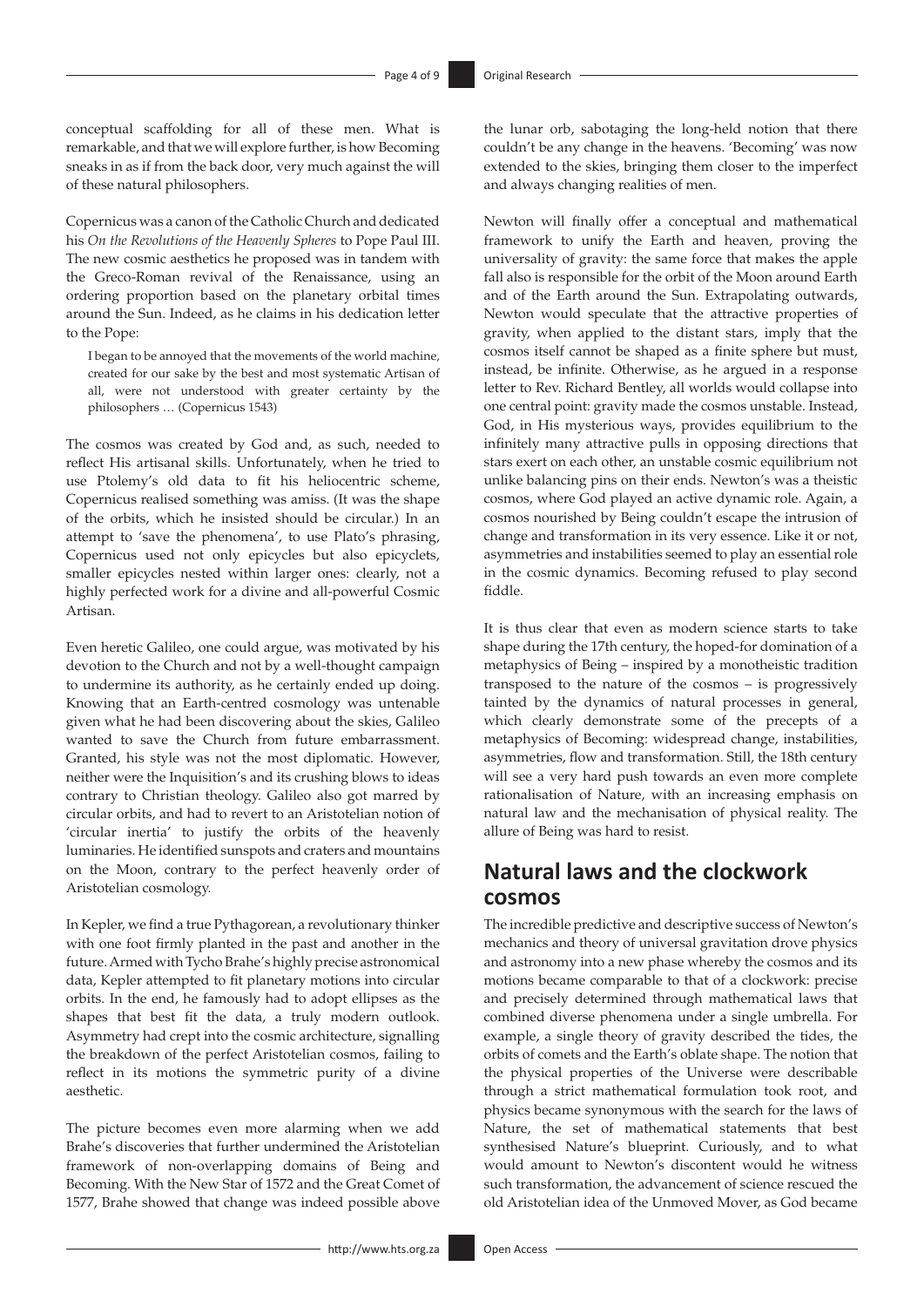conceptual scaffolding for all of these men. What is remarkable, and that we will explore further, is how Becoming sneaks in as if from the back door, very much against the will of these natural philosophers.

Copernicus was a canon of the Catholic Church and dedicated his *On the Revolutions of the Heavenly Spheres* to Pope Paul III. The new cosmic aesthetics he proposed was in tandem with the Greco-Roman revival of the Renaissance, using an ordering proportion based on the planetary orbital times around the Sun. Indeed, as he claims in his dedication letter to the Pope:

I began to be annoyed that the movements of the world machine, created for our sake by the best and most systematic Artisan of all, were not understood with greater certainty by the philosophers … (Copernicus 1543)

The cosmos was created by God and, as such, needed to reflect His artisanal skills. Unfortunately, when he tried to use Ptolemy's old data to fit his heliocentric scheme, Copernicus realised something was amiss. (It was the shape of the orbits, which he insisted should be circular.) In an attempt to 'save the phenomena', to use Plato's phrasing, Copernicus used not only epicycles but also epicyclets, smaller epicycles nested within larger ones: clearly, not a highly perfected work for a divine and all-powerful Cosmic Artisan.

Even heretic Galileo, one could argue, was motivated by his devotion to the Church and not by a well-thought campaign to undermine its authority, as he certainly ended up doing. Knowing that an Earth-centred cosmology was untenable given what he had been discovering about the skies, Galileo wanted to save the Church from future embarrassment. Granted, his style was not the most diplomatic. However, neither were the Inquisition's and its crushing blows to ideas contrary to Christian theology. Galileo also got marred by circular orbits, and had to revert to an Aristotelian notion of 'circular inertia' to justify the orbits of the heavenly luminaries. He identified sunspots and craters and mountains on the Moon, contrary to the perfect heavenly order of Aristotelian cosmology.

In Kepler, we find a true Pythagorean, a revolutionary thinker with one foot firmly planted in the past and another in the future. Armed with Tycho Brahe's highly precise astronomical data, Kepler attempted to fit planetary motions into circular orbits. In the end, he famously had to adopt ellipses as the shapes that best fit the data, a truly modern outlook. Asymmetry had crept into the cosmic architecture, signalling the breakdown of the perfect Aristotelian cosmos, failing to reflect in its motions the symmetric purity of a divine aesthetic.

The picture becomes even more alarming when we add Brahe's discoveries that further undermined the Aristotelian framework of non-overlapping domains of Being and Becoming. With the New Star of 1572 and the Great Comet of 1577, Brahe showed that change was indeed possible above

the lunar orb, sabotaging the long-held notion that there couldn't be any change in the heavens. 'Becoming' was now extended to the skies, bringing them closer to the imperfect and always changing realities of men.

Newton will finally offer a conceptual and mathematical framework to unify the Earth and heaven, proving the universality of gravity: the same force that makes the apple fall also is responsible for the orbit of the Moon around Earth and of the Earth around the Sun. Extrapolating outwards, Newton would speculate that the attractive properties of gravity, when applied to the distant stars, imply that the cosmos itself cannot be shaped as a finite sphere but must, instead, be infinite. Otherwise, as he argued in a response letter to Rev. Richard Bentley, all worlds would collapse into one central point: gravity made the cosmos unstable. Instead, God, in His mysterious ways, provides equilibrium to the infinitely many attractive pulls in opposing directions that stars exert on each other, an unstable cosmic equilibrium not unlike balancing pins on their ends. Newton's was a theistic cosmos, where God played an active dynamic role. Again, a cosmos nourished by Being couldn't escape the intrusion of change and transformation in its very essence. Like it or not, asymmetries and instabilities seemed to play an essential role in the cosmic dynamics. Becoming refused to play second fiddle.

It is thus clear that even as modern science starts to take shape during the 17th century, the hoped-for domination of a metaphysics of Being – inspired by a monotheistic tradition transposed to the nature of the cosmos – is progressively tainted by the dynamics of natural processes in general, which clearly demonstrate some of the precepts of a metaphysics of Becoming: widespread change, instabilities, asymmetries, flow and transformation. Still, the 18th century will see a very hard push towards an even more complete rationalisation of Nature, with an increasing emphasis on natural law and the mechanisation of physical reality. The allure of Being was hard to resist.

### **Natural laws and the clockwork cosmos**

The incredible predictive and descriptive success of Newton's mechanics and theory of universal gravitation drove physics and astronomy into a new phase whereby the cosmos and its motions became comparable to that of a clockwork: precise and precisely determined through mathematical laws that combined diverse phenomena under a single umbrella. For example, a single theory of gravity described the tides, the orbits of comets and the Earth's oblate shape. The notion that the physical properties of the Universe were describable through a strict mathematical formulation took root, and physics became synonymous with the search for the laws of Nature, the set of mathematical statements that best synthesised Nature's blueprint. Curiously, and to what would amount to Newton's discontent would he witness such transformation, the advancement of science rescued the old Aristotelian idea of the Unmoved Mover, as God became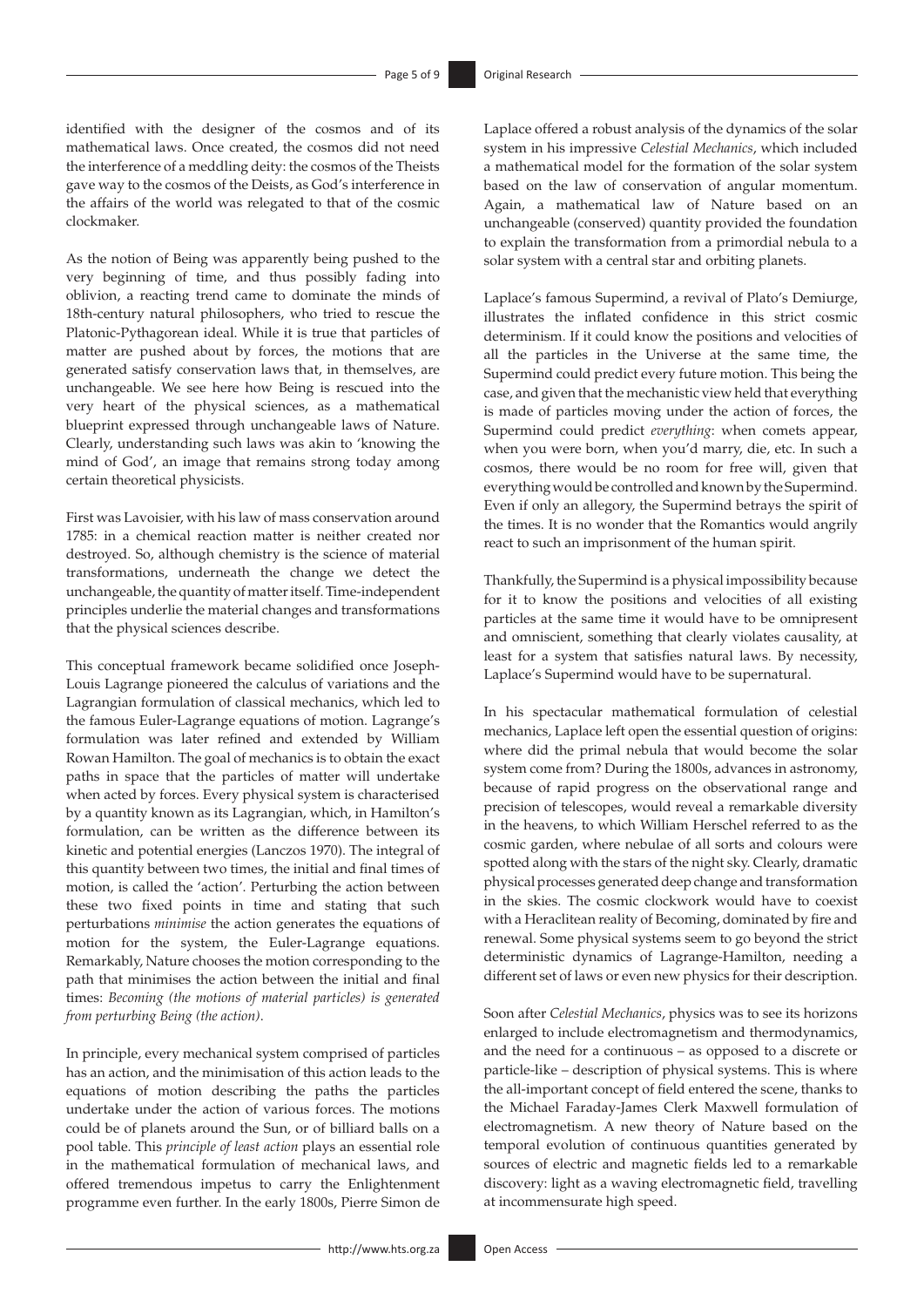identified with the designer of the cosmos and of its mathematical laws. Once created, the cosmos did not need the interference of a meddling deity: the cosmos of the Theists gave way to the cosmos of the Deists, as God's interference in the affairs of the world was relegated to that of the cosmic clockmaker.

As the notion of Being was apparently being pushed to the very beginning of time, and thus possibly fading into oblivion, a reacting trend came to dominate the minds of 18th-century natural philosophers, who tried to rescue the Platonic-Pythagorean ideal. While it is true that particles of matter are pushed about by forces, the motions that are generated satisfy conservation laws that, in themselves, are unchangeable. We see here how Being is rescued into the very heart of the physical sciences, as a mathematical blueprint expressed through unchangeable laws of Nature. Clearly, understanding such laws was akin to 'knowing the mind of God', an image that remains strong today among certain theoretical physicists.

First was Lavoisier, with his law of mass conservation around 1785: in a chemical reaction matter is neither created nor destroyed. So, although chemistry is the science of material transformations, underneath the change we detect the unchangeable, the quantity of matter itself. Time-independent principles underlie the material changes and transformations that the physical sciences describe.

This conceptual framework became solidified once Joseph-Louis Lagrange pioneered the calculus of variations and the Lagrangian formulation of classical mechanics, which led to the famous Euler-Lagrange equations of motion. Lagrange's formulation was later refined and extended by William Rowan Hamilton. The goal of mechanics is to obtain the exact paths in space that the particles of matter will undertake when acted by forces. Every physical system is characterised by a quantity known as its Lagrangian, which, in Hamilton's formulation, can be written as the difference between its kinetic and potential energies (Lanczos 1970). The integral of this quantity between two times, the initial and final times of motion, is called the 'action'. Perturbing the action between these two fixed points in time and stating that such perturbations *minimise* the action generates the equations of motion for the system, the Euler-Lagrange equations. Remarkably, Nature chooses the motion corresponding to the path that minimises the action between the initial and final times: *Becoming (the motions of material particles) is generated from perturbing Being (the action)*.

In principle, every mechanical system comprised of particles has an action, and the minimisation of this action leads to the equations of motion describing the paths the particles undertake under the action of various forces. The motions could be of planets around the Sun, or of billiard balls on a pool table. This *principle of least action* plays an essential role in the mathematical formulation of mechanical laws, and offered tremendous impetus to carry the Enlightenment programme even further. In the early 1800s, Pierre Simon de

Laplace offered a robust analysis of the dynamics of the solar system in his impressive *Celestial Mechanics*, which included a mathematical model for the formation of the solar system based on the law of conservation of angular momentum. Again, a mathematical law of Nature based on an unchangeable (conserved) quantity provided the foundation to explain the transformation from a primordial nebula to a solar system with a central star and orbiting planets.

Laplace's famous Supermind, a revival of Plato's Demiurge, illustrates the inflated confidence in this strict cosmic determinism. If it could know the positions and velocities of all the particles in the Universe at the same time, the Supermind could predict every future motion. This being the case, and given that the mechanistic view held that everything is made of particles moving under the action of forces, the Supermind could predict *everything*: when comets appear, when you were born, when you'd marry, die, etc. In such a cosmos, there would be no room for free will, given that everything would be controlled and known by the Supermind. Even if only an allegory, the Supermind betrays the spirit of the times. It is no wonder that the Romantics would angrily react to such an imprisonment of the human spirit.

Thankfully, the Supermind is a physical impossibility because for it to know the positions and velocities of all existing particles at the same time it would have to be omnipresent and omniscient, something that clearly violates causality, at least for a system that satisfies natural laws. By necessity, Laplace's Supermind would have to be supernatural.

In his spectacular mathematical formulation of celestial mechanics, Laplace left open the essential question of origins: where did the primal nebula that would become the solar system come from? During the 1800s, advances in astronomy, because of rapid progress on the observational range and precision of telescopes, would reveal a remarkable diversity in the heavens, to which William Herschel referred to as the cosmic garden, where nebulae of all sorts and colours were spotted along with the stars of the night sky. Clearly, dramatic physical processes generated deep change and transformation in the skies. The cosmic clockwork would have to coexist with a Heraclitean reality of Becoming, dominated by fire and renewal. Some physical systems seem to go beyond the strict deterministic dynamics of Lagrange-Hamilton, needing a different set of laws or even new physics for their description.

Soon after *Celestial Mechanics*, physics was to see its horizons enlarged to include electromagnetism and thermodynamics, and the need for a continuous – as opposed to a discrete or particle-like – description of physical systems. This is where the all-important concept of field entered the scene, thanks to the Michael Faraday-James Clerk Maxwell formulation of electromagnetism. A new theory of Nature based on the temporal evolution of continuous quantities generated by sources of electric and magnetic fields led to a remarkable discovery: light as a waving electromagnetic field, travelling at incommensurate high speed.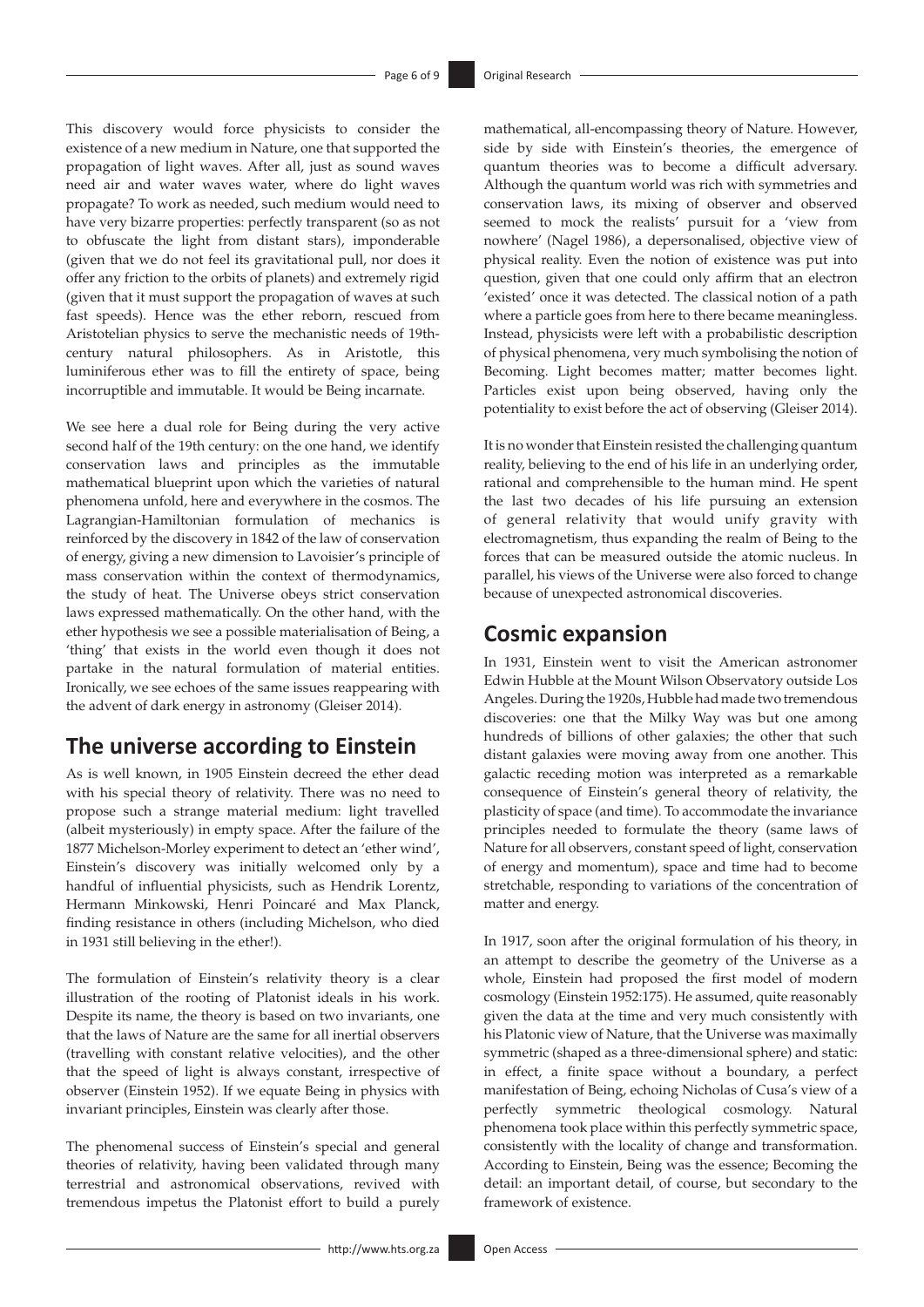This discovery would force physicists to consider the existence of a new medium in Nature, one that supported the propagation of light waves. After all, just as sound waves need air and water waves water, where do light waves propagate? To work as needed, such medium would need to have very bizarre properties: perfectly transparent (so as not to obfuscate the light from distant stars), imponderable (given that we do not feel its gravitational pull, nor does it offer any friction to the orbits of planets) and extremely rigid (given that it must support the propagation of waves at such fast speeds). Hence was the ether reborn, rescued from Aristotelian physics to serve the mechanistic needs of 19thcentury natural philosophers. As in Aristotle, this luminiferous ether was to fill the entirety of space, being incorruptible and immutable. It would be Being incarnate.

We see here a dual role for Being during the very active second half of the 19th century: on the one hand, we identify conservation laws and principles as the immutable mathematical blueprint upon which the varieties of natural phenomena unfold, here and everywhere in the cosmos. The Lagrangian-Hamiltonian formulation of mechanics is reinforced by the discovery in 1842 of the law of conservation of energy, giving a new dimension to Lavoisier's principle of mass conservation within the context of thermodynamics, the study of heat. The Universe obeys strict conservation laws expressed mathematically. On the other hand, with the ether hypothesis we see a possible materialisation of Being, a 'thing' that exists in the world even though it does not partake in the natural formulation of material entities. Ironically, we see echoes of the same issues reappearing with the advent of dark energy in astronomy (Gleiser 2014).

### **The universe according to Einstein**

As is well known, in 1905 Einstein decreed the ether dead with his special theory of relativity. There was no need to propose such a strange material medium: light travelled (albeit mysteriously) in empty space. After the failure of the 1877 Michelson-Morley experiment to detect an 'ether wind', Einstein's discovery was initially welcomed only by a handful of influential physicists, such as Hendrik Lorentz, Hermann Minkowski, Henri Poincaré and Max Planck, finding resistance in others (including Michelson, who died in 1931 still believing in the ether!).

The formulation of Einstein's relativity theory is a clear illustration of the rooting of Platonist ideals in his work. Despite its name, the theory is based on two invariants, one that the laws of Nature are the same for all inertial observers (travelling with constant relative velocities), and the other that the speed of light is always constant, irrespective of observer (Einstein 1952). If we equate Being in physics with invariant principles, Einstein was clearly after those.

The phenomenal success of Einstein's special and general theories of relativity, having been validated through many terrestrial and astronomical observations, revived with tremendous impetus the Platonist effort to build a purely mathematical, all-encompassing theory of Nature. However, side by side with Einstein's theories, the emergence of quantum theories was to become a difficult adversary. Although the quantum world was rich with symmetries and conservation laws, its mixing of observer and observed seemed to mock the realists' pursuit for a 'view from nowhere' (Nagel 1986), a depersonalised, objective view of physical reality. Even the notion of existence was put into question, given that one could only affirm that an electron 'existed' once it was detected. The classical notion of a path where a particle goes from here to there became meaningless. Instead, physicists were left with a probabilistic description of physical phenomena, very much symbolising the notion of Becoming. Light becomes matter; matter becomes light. Particles exist upon being observed, having only the potentiality to exist before the act of observing (Gleiser 2014).

It is no wonder that Einstein resisted the challenging quantum reality, believing to the end of his life in an underlying order, rational and comprehensible to the human mind. He spent the last two decades of his life pursuing an extension of general relativity that would unify gravity with electromagnetism, thus expanding the realm of Being to the forces that can be measured outside the atomic nucleus. In parallel, his views of the Universe were also forced to change because of unexpected astronomical discoveries.

### **Cosmic expansion**

In 1931, Einstein went to visit the American astronomer Edwin Hubble at the Mount Wilson Observatory outside Los Angeles. During the 1920s, Hubble had made two tremendous discoveries: one that the Milky Way was but one among hundreds of billions of other galaxies; the other that such distant galaxies were moving away from one another. This galactic receding motion was interpreted as a remarkable consequence of Einstein's general theory of relativity, the plasticity of space (and time). To accommodate the invariance principles needed to formulate the theory (same laws of Nature for all observers, constant speed of light, conservation of energy and momentum), space and time had to become stretchable, responding to variations of the concentration of matter and energy.

In 1917, soon after the original formulation of his theory, in an attempt to describe the geometry of the Universe as a whole, Einstein had proposed the first model of modern cosmology (Einstein 1952:175). He assumed, quite reasonably given the data at the time and very much consistently with his Platonic view of Nature, that the Universe was maximally symmetric (shaped as a three-dimensional sphere) and static: in effect, a finite space without a boundary, a perfect manifestation of Being, echoing Nicholas of Cusa's view of a perfectly symmetric theological cosmology. Natural phenomena took place within this perfectly symmetric space, consistently with the locality of change and transformation. According to Einstein, Being was the essence; Becoming the detail: an important detail, of course, but secondary to the framework of existence.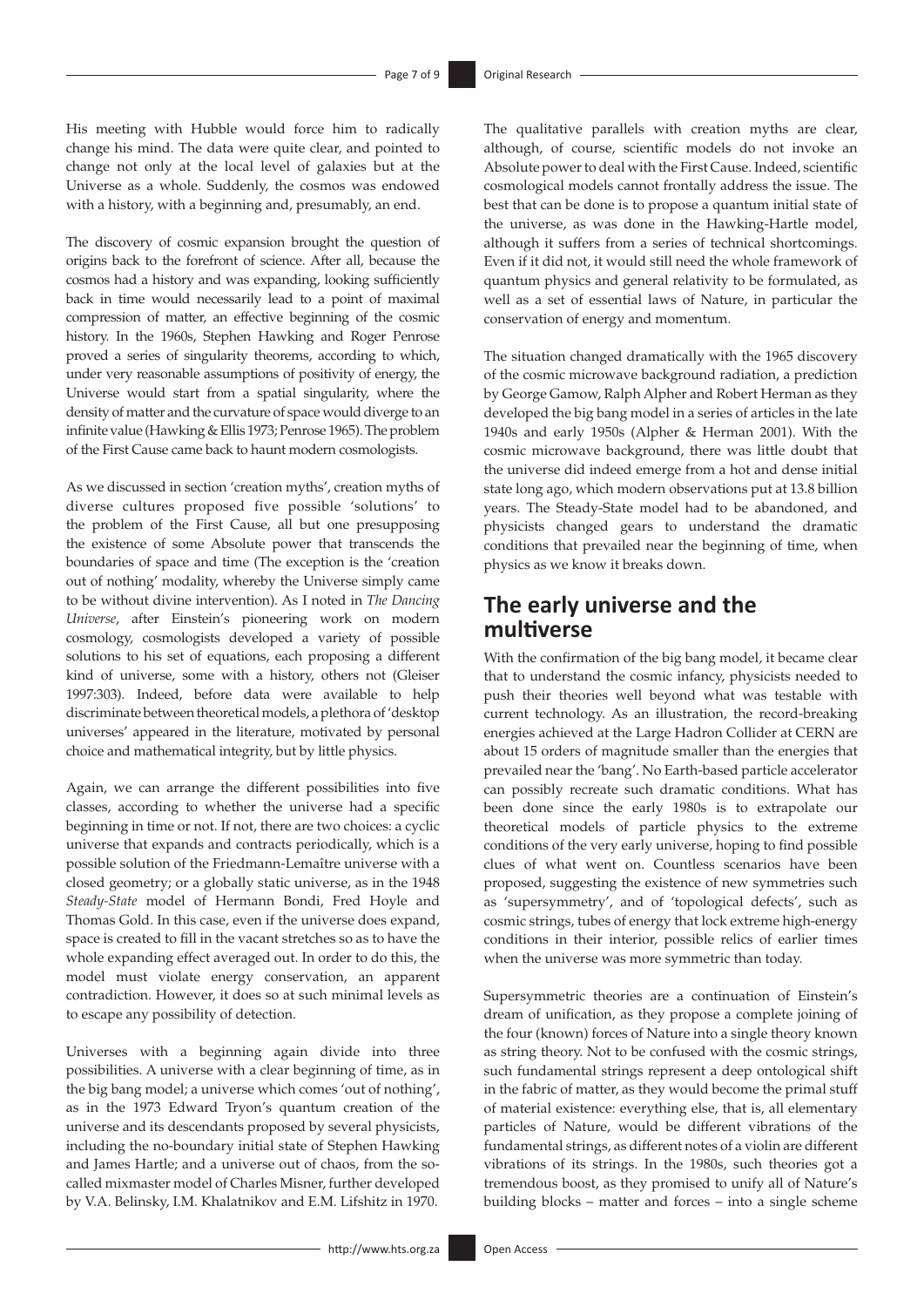His meeting with Hubble would force him to radically change his mind. The data were quite clear, and pointed to change not only at the local level of galaxies but at the Universe as a whole. Suddenly, the cosmos was endowed with a history, with a beginning and, presumably, an end.

The discovery of cosmic expansion brought the question of origins back to the forefront of science. After all, because the cosmos had a history and was expanding, looking sufficiently back in time would necessarily lead to a point of maximal compression of matter, an effective beginning of the cosmic history. In the 1960s, Stephen Hawking and Roger Penrose proved a series of singularity theorems, according to which, under very reasonable assumptions of positivity of energy, the Universe would start from a spatial singularity, where the density of matter and the curvature of space would diverge to an infinite value (Hawking & Ellis 1973; Penrose 1965). The problem of the First Cause came back to haunt modern cosmologists.

As we discussed in section 'creation myths', creation myths of diverse cultures proposed five possible 'solutions' to the problem of the First Cause, all but one presupposing the existence of some Absolute power that transcends the boundaries of space and time (The exception is the 'creation out of nothing' modality, whereby the Universe simply came to be without divine intervention). As I noted in *The Dancing Universe*, after Einstein's pioneering work on modern cosmology, cosmologists developed a variety of possible solutions to his set of equations, each proposing a different kind of universe, some with a history, others not (Gleiser 1997:303). Indeed, before data were available to help discriminate between theoretical models, a plethora of 'desktop universes' appeared in the literature, motivated by personal choice and mathematical integrity, but by little physics.

Again, we can arrange the different possibilities into five classes, according to whether the universe had a specific beginning in time or not. If not, there are two choices: a cyclic universe that expands and contracts periodically, which is a possible solution of the Friedmann-Lemaître universe with a closed geometry; or a globally static universe, as in the 1948 *Steady-State* model of Hermann Bondi, Fred Hoyle and Thomas Gold. In this case, even if the universe does expand, space is created to fill in the vacant stretches so as to have the whole expanding effect averaged out. In order to do this, the model must violate energy conservation, an apparent contradiction. However, it does so at such minimal levels as to escape any possibility of detection.

Universes with a beginning again divide into three possibilities. A universe with a clear beginning of time, as in the big bang model; a universe which comes 'out of nothing', as in the 1973 Edward Tryon's quantum creation of the universe and its descendants proposed by several physicists, including the no-boundary initial state of Stephen Hawking and James Hartle; and a universe out of chaos, from the socalled mixmaster model of Charles Misner, further developed by V.A. Belinsky, I.M. Khalatnikov and E.M. Lifshitz in 1970.

The qualitative parallels with creation myths are clear, although, of course, scientific models do not invoke an Absolute power to deal with the First Cause. Indeed, scientific cosmological models cannot frontally address the issue. The best that can be done is to propose a quantum initial state of the universe, as was done in the Hawking-Hartle model, although it suffers from a series of technical shortcomings. Even if it did not, it would still need the whole framework of quantum physics and general relativity to be formulated, as well as a set of essential laws of Nature, in particular the conservation of energy and momentum.

The situation changed dramatically with the 1965 discovery of the cosmic microwave background radiation, a prediction by George Gamow, Ralph Alpher and Robert Herman as they developed the big bang model in a series of articles in the late 1940s and early 1950s (Alpher & Herman 2001). With the cosmic microwave background, there was little doubt that the universe did indeed emerge from a hot and dense initial state long ago, which modern observations put at 13.8 billion years. The Steady-State model had to be abandoned, and physicists changed gears to understand the dramatic conditions that prevailed near the beginning of time, when physics as we know it breaks down.

# **The early universe and the multiverse**

With the confirmation of the big bang model, it became clear that to understand the cosmic infancy, physicists needed to push their theories well beyond what was testable with current technology. As an illustration, the record-breaking energies achieved at the Large Hadron Collider at CERN are about 15 orders of magnitude smaller than the energies that prevailed near the 'bang'. No Earth-based particle accelerator can possibly recreate such dramatic conditions. What has been done since the early 1980s is to extrapolate our theoretical models of particle physics to the extreme conditions of the very early universe, hoping to find possible clues of what went on. Countless scenarios have been proposed, suggesting the existence of new symmetries such as 'supersymmetry', and of 'topological defects', such as cosmic strings, tubes of energy that lock extreme high-energy conditions in their interior, possible relics of earlier times when the universe was more symmetric than today.

Supersymmetric theories are a continuation of Einstein's dream of unification, as they propose a complete joining of the four (known) forces of Nature into a single theory known as string theory. Not to be confused with the cosmic strings, such fundamental strings represent a deep ontological shift in the fabric of matter, as they would become the primal stuff of material existence: everything else, that is, all elementary particles of Nature, would be different vibrations of the fundamental strings, as different notes of a violin are different vibrations of its strings. In the 1980s, such theories got a tremendous boost, as they promised to unify all of Nature's building blocks – matter and forces – into a single scheme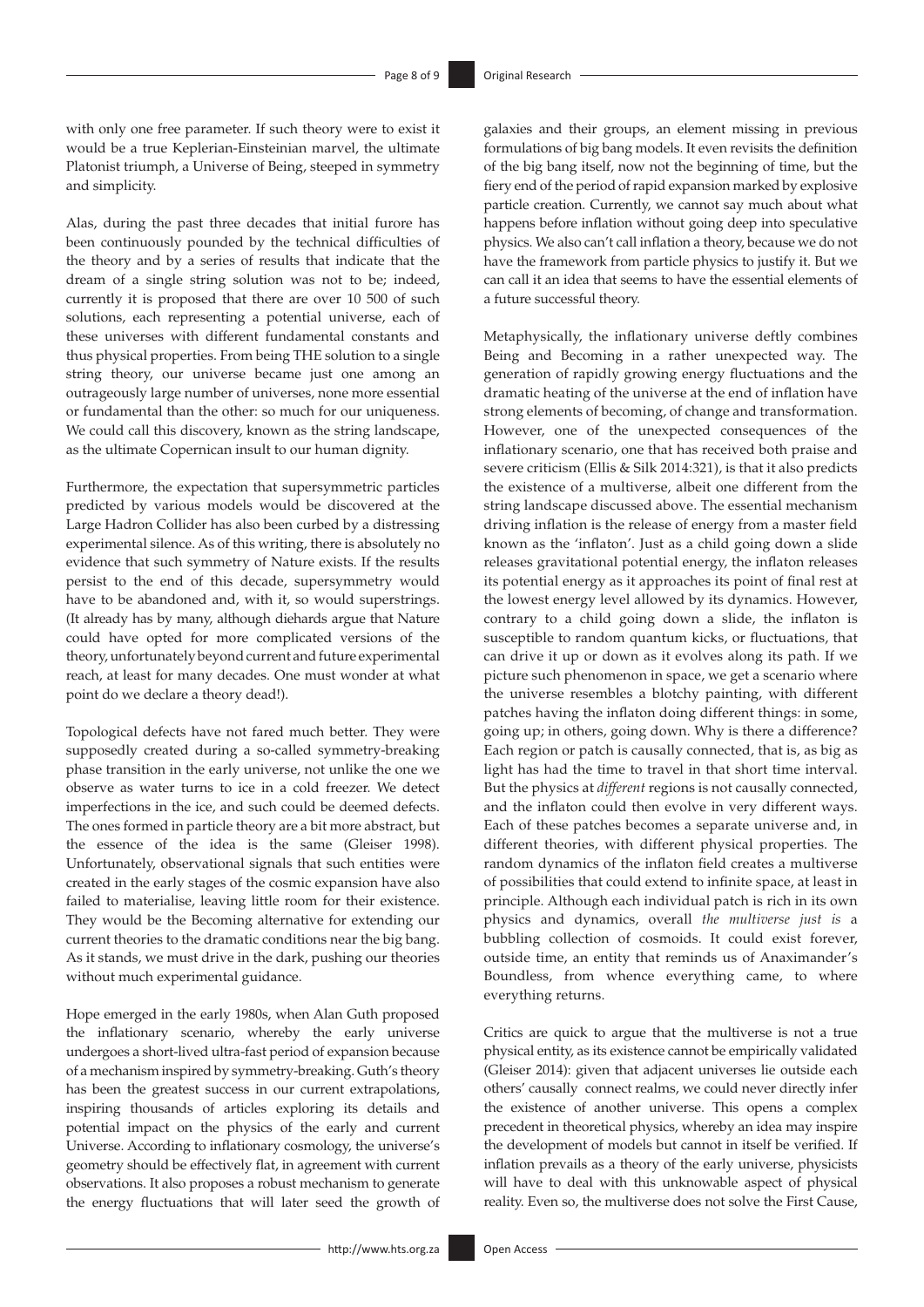with only one free parameter. If such theory were to exist it would be a true Keplerian-Einsteinian marvel, the ultimate Platonist triumph, a Universe of Being, steeped in symmetry and simplicity.

Alas, during the past three decades that initial furore has been continuously pounded by the technical difficulties of the theory and by a series of results that indicate that the dream of a single string solution was not to be; indeed, currently it is proposed that there are over 10 500 of such solutions, each representing a potential universe, each of these universes with different fundamental constants and thus physical properties. From being THE solution to a single string theory, our universe became just one among an outrageously large number of universes, none more essential or fundamental than the other: so much for our uniqueness. We could call this discovery, known as the string landscape, as the ultimate Copernican insult to our human dignity.

Furthermore, the expectation that supersymmetric particles predicted by various models would be discovered at the Large Hadron Collider has also been curbed by a distressing experimental silence. As of this writing, there is absolutely no evidence that such symmetry of Nature exists. If the results persist to the end of this decade, supersymmetry would have to be abandoned and, with it, so would superstrings. (It already has by many, although diehards argue that Nature could have opted for more complicated versions of the theory, unfortunately beyond current and future experimental reach, at least for many decades. One must wonder at what point do we declare a theory dead!).

Topological defects have not fared much better. They were supposedly created during a so-called symmetry-breaking phase transition in the early universe, not unlike the one we observe as water turns to ice in a cold freezer. We detect imperfections in the ice, and such could be deemed defects. The ones formed in particle theory are a bit more abstract, but the essence of the idea is the same (Gleiser 1998). Unfortunately, observational signals that such entities were created in the early stages of the cosmic expansion have also failed to materialise, leaving little room for their existence. They would be the Becoming alternative for extending our current theories to the dramatic conditions near the big bang. As it stands, we must drive in the dark, pushing our theories without much experimental guidance.

Hope emerged in the early 1980s, when Alan Guth proposed the inflationary scenario, whereby the early universe undergoes a short-lived ultra-fast period of expansion because of a mechanism inspired by symmetry-breaking. Guth's theory has been the greatest success in our current extrapolations, inspiring thousands of articles exploring its details and potential impact on the physics of the early and current Universe. According to inflationary cosmology, the universe's geometry should be effectively flat, in agreement with current observations. It also proposes a robust mechanism to generate the energy fluctuations that will later seed the growth of galaxies and their groups, an element missing in previous formulations of big bang models. It even revisits the definition of the big bang itself, now not the beginning of time, but the fiery end of the period of rapid expansion marked by explosive particle creation. Currently, we cannot say much about what happens before inflation without going deep into speculative physics. We also can't call inflation a theory, because we do not have the framework from particle physics to justify it. But we can call it an idea that seems to have the essential elements of a future successful theory.

Metaphysically, the inflationary universe deftly combines Being and Becoming in a rather unexpected way. The generation of rapidly growing energy fluctuations and the dramatic heating of the universe at the end of inflation have strong elements of becoming, of change and transformation. However, one of the unexpected consequences of the inflationary scenario, one that has received both praise and severe criticism (Ellis & Silk 2014:321), is that it also predicts the existence of a multiverse, albeit one different from the string landscape discussed above. The essential mechanism driving inflation is the release of energy from a master field known as the 'inflaton'. Just as a child going down a slide releases gravitational potential energy, the inflaton releases its potential energy as it approaches its point of final rest at the lowest energy level allowed by its dynamics. However, contrary to a child going down a slide, the inflaton is susceptible to random quantum kicks, or fluctuations, that can drive it up or down as it evolves along its path. If we picture such phenomenon in space, we get a scenario where the universe resembles a blotchy painting, with different patches having the inflaton doing different things: in some, going up; in others, going down. Why is there a difference? Each region or patch is causally connected, that is, as big as light has had the time to travel in that short time interval. But the physics at *different* regions is not causally connected, and the inflaton could then evolve in very different ways. Each of these patches becomes a separate universe and, in different theories, with different physical properties. The random dynamics of the inflaton field creates a multiverse of possibilities that could extend to infinite space, at least in principle. Although each individual patch is rich in its own physics and dynamics, overall *the multiverse just is* a bubbling collection of cosmoids. It could exist forever, outside time, an entity that reminds us of Anaximander's Boundless, from whence everything came, to where everything returns.

Critics are quick to argue that the multiverse is not a true physical entity, as its existence cannot be empirically validated (Gleiser 2014): given that adjacent universes lie outside each others' causally connect realms, we could never directly infer the existence of another universe. This opens a complex precedent in theoretical physics, whereby an idea may inspire the development of models but cannot in itself be verified. If inflation prevails as a theory of the early universe, physicists will have to deal with this unknowable aspect of physical reality. Even so, the multiverse does not solve the First Cause,